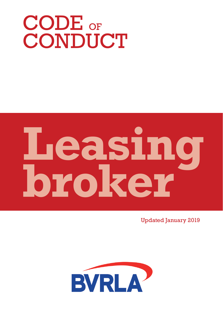# CODE OF CONDUCT

# **Leasing broker**

Updated January 2019

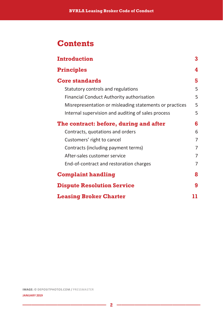### **Contents**

| <b>Introduction</b>                                     | 3  |
|---------------------------------------------------------|----|
| <b>Principles</b>                                       | 4  |
| <b>Core standards</b>                                   | 5  |
| Statutory controls and regulations                      | 5  |
| Financial Conduct Authority authorisation               | 5  |
| Misrepresentation or misleading statements or practices | 5  |
| Internal supervision and auditing of sales process      | 5  |
| The contract: before, during and after                  | 6  |
| Contracts, quotations and orders                        | 6  |
| Customers' right to cancel                              | 7  |
| Contracts (including payment terms)                     | 7  |
| After-sales customer service                            | 7  |
| End-of-contract and restoration charges                 | 7  |
| <b>Complaint handling</b>                               | 8  |
| <b>Dispute Resolution Service</b>                       | 9  |
| <b>Leasing Broker Charter</b>                           | 11 |

**IMAGE: © DEPOSITPHOTOS.COM /** PRESSMASTER

m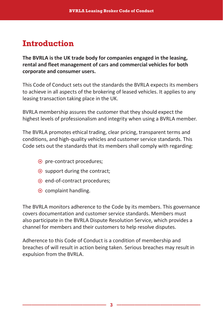# **Introduction**

**The BVRLA is the UK trade body for companies engaged in the leasing, rental and fleet management of cars and commercial vehicles for both corporate and consumer users.** 

This Code of Conduct sets out the standards the BVRLA expects its members to achieve in all aspects of the brokering of leased vehicles. It applies to any leasing transaction taking place in the UK.

BVRLA membership assures the customer that they should expect the highest levels of professionalism and integrity when using a BVRLA member.

The BVRLA promotes ethical trading, clear pricing, transparent terms and conditions, and high-quality vehicles and customer service standards. This Code sets out the standards that its members shall comply with regarding:

- pre-contract procedures;
- $\odot$  support during the contract:
- $\odot$  end-of-contract procedures;
- $\odot$  complaint handling.

The BVRLA monitors adherence to the Code by its members. This governance covers documentation and customer service standards. Members must also participate in the BVRLA Dispute Resolution Service, which provides a channel for members and their customers to help resolve disputes.

Adherence to this Code of Conduct is a condition of membership and breaches of will result in action being taken. Serious breaches may result in expulsion from the BVRLA.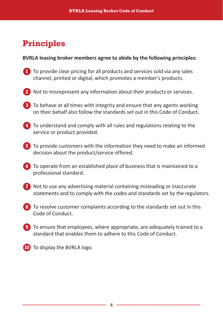# **Principles**

#### **BVRLA leasing broker members agree to abide by the following principles:**

- **1** To provide clear pricing for all products and services sold via any sales channel, printed or digital, which promotes a member's products.
- **2** Not to misrepresent any information about their products or services.
- **3** To behave at all times with integrity and ensure that any agents working on their behalf also follow the standards set out in this Code of Conduct.
- **4** To understand and comply with all rules and regulations relating to the service or product provided.
- **5** To provide customers with the information they need to make an informed decision about the product/service offered.
- **6** To operate from an established place of business that is maintained to a professional standard.
- **7** Not to use any advertising material containing misleading or inaccurate statements and to comply with the codes and standards set by the regulators.
- **8** To resolve customer complaints according to the standards set out in this Code of Conduct.
- **9** To ensure that employees, where appropriate, are adequately trained to a standard that enables them to adhere to this Code of Conduct.
- **10** To display the BVRLA logo.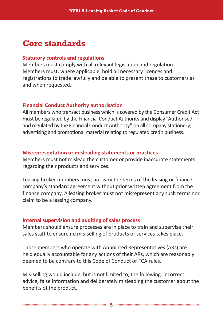## **Core standards**

#### **Statutory controls and regulations**

Members must comply with all relevant legislation and regulation. Members must, where applicable, hold all necessary licences and registrations to trade lawfully and be able to present these to customers as and when requested.

#### **Financial Conduct Authority authorisation**

All members who transact business which is covered by the Consumer Credit Act must be regulated by the Financial Conduct Authority and display "Authorised and regulated by the Financial Conduct Authority" on all company stationery, advertising and promotional material relating to regulated credit business.

#### **Misrepresentation or misleading statements or practices**

Members must not mislead the customer or provide inaccurate statements regarding their products and services.

Leasing broker members must not vary the terms of the leasing or finance company's standard agreement without prior written agreement from the finance company. A leasing broker must not misrepresent any such terms nor claim to be a leasing company.

#### **Internal supervision and auditing of sales process**

Members should ensure processes are in place to train and supervise their sales staff to ensure no mis-selling of products or services takes place.

Those members who operate with Appointed Representatives (ARs) are held equally accountable for any actions of their ARs, which are reasonably deemed to be contrary to this Code of Conduct or FCA rules.

Mis-selling would include, but is not limited to, the following: incorrect advice, false information and deliberately misleading the customer about the benefits of the product.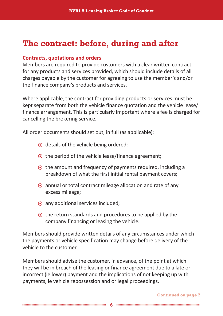# **The contract: before, during and after**

#### **Contracts, quotations and orders**

Members are required to provide customers with a clear written contract for any products and services provided, which should include details of all charges payable by the customer for agreeing to use the member's and/or the finance company's products and services.

Where applicable, the contract for providing products or services must be kept separate from both the vehicle finance quotation and the vehicle lease/ finance arrangement. This is particularly important where a fee is charged for cancelling the brokering service.

All order documents should set out, in full (as applicable):

- $\odot$  details of the vehicle being ordered;
- $\odot$  the period of the vehicle lease/finance agreement;
- $\odot$  the amount and frequency of payments required, including a breakdown of what the first initial rental payment covers;
- $\odot$  annual or total contract mileage allocation and rate of any excess mileage;
- $\odot$  any additional services included;
- $\odot$  the return standards and procedures to be applied by the company financing or leasing the vehicle.

Members should provide written details of any circumstances under which the payments or vehicle specification may change before delivery of the vehicle to the customer.

Members should advise the customer, in advance, of the point at which they will be in breach of the leasing or finance agreement due to a late or incorrect (ie lower) payment and the implications of not keeping up with payments, ie vehicle repossession and or legal proceedings.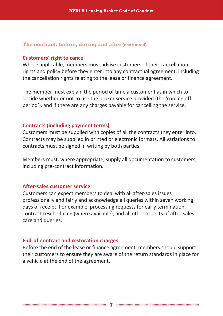#### **The contract: before, during and after (continued)**

#### **Customers' right to cancel**

Where applicable, members must advise customers of their cancellation rights and policy before they enter into any contractual agreement, including the cancellation rights relating to the lease or finance agreement.

The member must explain the period of time a customer has in which to decide whether or not to use the broker service provided (the 'cooling off period'), and if there are any charges payable for cancelling the service.

#### **Contracts (including payment terms)**

Customers must be supplied with copies of all the contracts they enter into. Contracts may be supplied in printed or electronic formats. All variations to contracts must be signed in writing by both parties.

Members must, where appropriate, supply all documentation to customers, including pre-contract information.

#### **After-sales customer service**

Customers can expect members to deal with all after-sales issues professionally and fairly and acknowledge all queries within seven working days of receipt. For example, processing requests for early termination, contract rescheduling (where available), and all other aspects of after-sales care and queries.

#### **End-of-contract and restoration charges**

Before the end of the lease or finance agreement, members should support their customers to ensure they are aware of the return standards in place for a vehicle at the end of the agreement.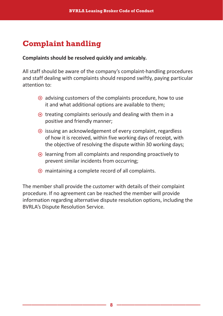# **Complaint handling**

#### **Complaints should be resolved quickly and amicably.**

All staff should be aware of the company's complaint-handling procedures and staff dealing with complaints should respond swiftly, paying particular attention to:

- $\odot$  advising customers of the complaints procedure, how to use it and what additional options are available to them;
- $\odot$  treating complaints seriously and dealing with them in a positive and friendly manner;
- $\odot$  issuing an acknowledgement of every complaint, regardless of how it is received, within five working days of receipt, with the objective of resolving the dispute within 30 working days;
- $\odot$  learning from all complaints and responding proactively to prevent similar incidents from occurring;
- $\odot$  maintaining a complete record of all complaints.

The member shall provide the customer with details of their complaint procedure. If no agreement can be reached the member will provide information regarding alternative dispute resolution options, including the BVRLA's Dispute Resolution Service.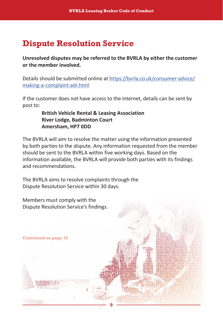# **Dispute Resolution Service**

**Unresolved disputes may be referred to the BVRLA by either the customer or the member involved.**

Details should be submitted online at https://bvrla.co.uk/consumer-advice/ making-a-complaint-adr.html

If the customer does not have access to the internet, details can be sent by post to:

#### **British Vehicle Rental & Leasing Association River Lodge, Badminton Court Amersham, HP7 0DD**

The BVRLA will aim to resolve the matter using the information presented by both parties to the dispute. Any information requested from the member should be sent to the BVRLA within five working days. Based on the information available, the BVRLA will provide both parties with its findings and recommendations.

The BVRLA aims to resolve complaints through the Dispute Resolution Service within 30 days.

Members must comply with the Dispute Resolution Service's findings.

**Continued on page 10**

**8 9**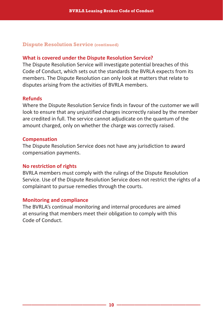#### **Dispute Resolution Service (continued)**

#### **What is covered under the Dispute Resolution Service?**

The Dispute Resolution Service will investigate potential breaches of this Code of Conduct, which sets out the standards the BVRLA expects from its members. The Dispute Resolution can only look at matters that relate to disputes arising from the activities of BVRLA members.

#### **Refunds**

Where the Dispute Resolution Service finds in favour of the customer we will look to ensure that any unjustified charges incorrectly raised by the member are credited in full. The service cannot adjudicate on the quantum of the amount charged, only on whether the charge was correctly raised.

#### **Compensation**

The Dispute Resolution Service does not have any jurisdiction to award compensation payments.

#### **No restriction of rights**

BVRLA members must comply with the rulings of the Dispute Resolution Service. Use of the Dispute Resolution Service does not restrict the rights of a complainant to pursue remedies through the courts.

#### **Monitoring and compliance**

The BVRLA's continual monitoring and internal procedures are aimed at ensuring that members meet their obligation to comply with this Code of Conduct.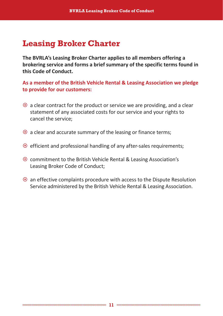# **Leasing Broker Charter**

**The BVRLA's Leasing Broker Charter applies to all members offering a brokering service and forms a brief summary of the specific terms found in this Code of Conduct.**

**As a member of the British Vehicle Rental & Leasing Association we pledge to provide for our customers:**

- $\odot$  a clear contract for the product or service we are providing, and a clear statement of any associated costs for our service and your rights to cancel the service;
- $\odot$  a clear and accurate summary of the leasing or finance terms;
- $\odot$  efficient and professional handling of any after-sales requirements;
- **☉** commitment to the British Vehicle Rental & Leasing Association's Leasing Broker Code of Conduct;
- $\odot$  an effective complaints procedure with access to the Dispute Resolution Service administered by the British Vehicle Rental & Leasing Association.